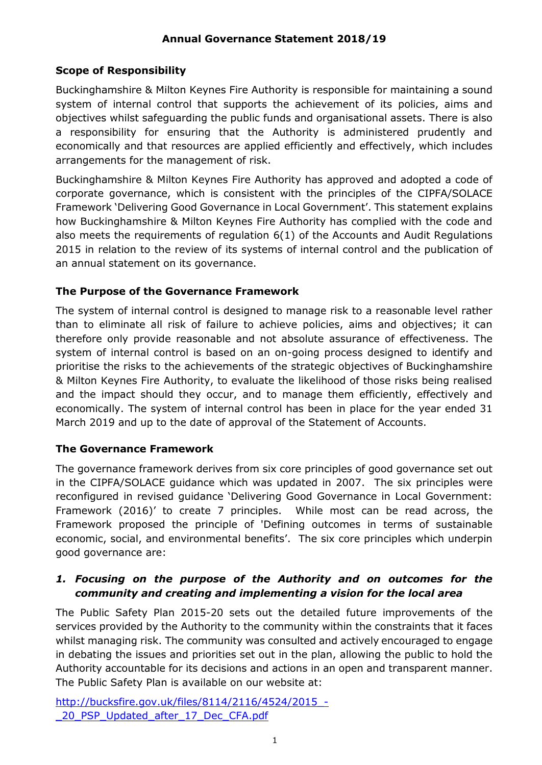# **Scope of Responsibility**

Buckinghamshire & Milton Keynes Fire Authority is responsible for maintaining a sound system of internal control that supports the achievement of its policies, aims and objectives whilst safeguarding the public funds and organisational assets. There is also a responsibility for ensuring that the Authority is administered prudently and economically and that resources are applied efficiently and effectively, which includes arrangements for the management of risk.

Buckinghamshire & Milton Keynes Fire Authority has approved and adopted a code of corporate governance, which is consistent with the principles of the CIPFA/SOLACE Framework 'Delivering Good Governance in Local Government'. This statement explains how Buckinghamshire & Milton Keynes Fire Authority has complied with the code and also meets the requirements of regulation 6(1) of the Accounts and Audit Regulations 2015 in relation to the review of its systems of internal control and the publication of an annual statement on its governance.

#### **The Purpose of the Governance Framework**

The system of internal control is designed to manage risk to a reasonable level rather than to eliminate all risk of failure to achieve policies, aims and objectives; it can therefore only provide reasonable and not absolute assurance of effectiveness. The system of internal control is based on an on-going process designed to identify and prioritise the risks to the achievements of the strategic objectives of Buckinghamshire & Milton Keynes Fire Authority, to evaluate the likelihood of those risks being realised and the impact should they occur, and to manage them efficiently, effectively and economically. The system of internal control has been in place for the year ended 31 March 2019 and up to the date of approval of the Statement of Accounts.

#### **The Governance Framework**

The governance framework derives from six core principles of good governance set out in the CIPFA/SOLACE guidance which was updated in 2007. The six principles were reconfigured in revised guidance 'Delivering Good Governance in Local Government: Framework (2016)' to create 7 principles. While most can be read across, the Framework proposed the principle of 'Defining outcomes in terms of sustainable economic, social, and environmental benefits'. The six core principles which underpin good governance are:

#### *1. Focusing on the purpose of the Authority and on outcomes for the community and creating and implementing a vision for the local area*

The Public Safety Plan 2015-20 sets out the detailed future improvements of the services provided by the Authority to the community within the constraints that it faces whilst managing risk. The community was consulted and actively encouraged to engage in debating the issues and priorities set out in the plan, allowing the public to hold the Authority accountable for its decisions and actions in an open and transparent manner. The Public Safety Plan is available on our website at:

[http://bucksfire.gov.uk/files/8114/2116/4524/2015\\_-](http://bucksfire.gov.uk/files/8114/2116/4524/2015_-_20_PSP_Updated_after_17_Dec_CFA.pdf) 20\_PSP\_Updated\_after\_17\_Dec\_CFA.pdf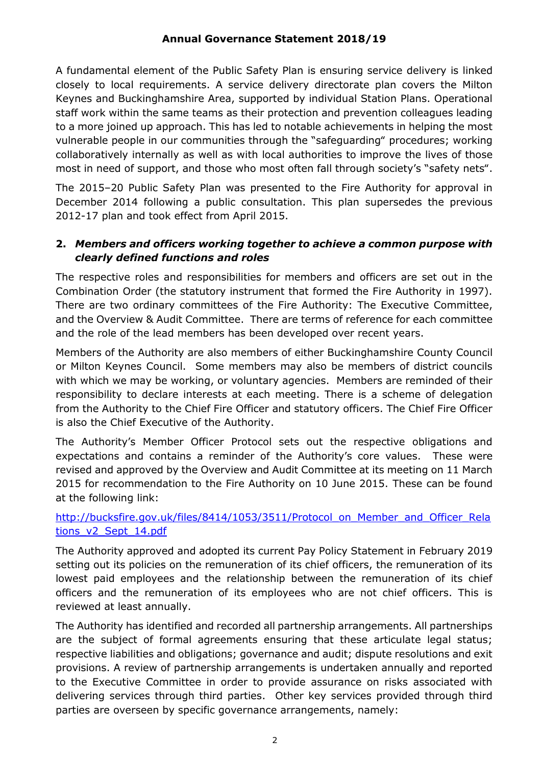A fundamental element of the Public Safety Plan is ensuring service delivery is linked closely to local requirements. A service delivery directorate plan covers the Milton Keynes and Buckinghamshire Area, supported by individual Station Plans. Operational staff work within the same teams as their protection and prevention colleagues leading to a more joined up approach. This has led to notable achievements in helping the most vulnerable people in our communities through the "safeguarding" procedures; working collaboratively internally as well as with local authorities to improve the lives of those most in need of support, and those who most often fall through society's "safety nets".

The 2015–20 Public Safety Plan was presented to the Fire Authority for approval in December 2014 following a public consultation. This plan supersedes the previous 2012-17 plan and took effect from April 2015.

# **2.** *Members and officers working together to achieve a common purpose with clearly defined functions and roles*

The respective roles and responsibilities for members and officers are set out in the Combination Order (the statutory instrument that formed the Fire Authority in 1997). There are two ordinary committees of the Fire Authority: The Executive Committee, and the Overview & Audit Committee. There are terms of reference for each committee and the role of the lead members has been developed over recent years.

Members of the Authority are also members of either Buckinghamshire County Council or Milton Keynes Council. Some members may also be members of district councils with which we may be working, or voluntary agencies. Members are reminded of their responsibility to declare interests at each meeting. There is a scheme of delegation from the Authority to the Chief Fire Officer and statutory officers. The Chief Fire Officer is also the Chief Executive of the Authority.

The Authority's Member Officer Protocol sets out the respective obligations and expectations and contains a reminder of the Authority's core values. These were revised and approved by the Overview and Audit Committee at its meeting on 11 March 2015 for recommendation to the Fire Authority on 10 June 2015. These can be found at the following link:

#### [http://bucksfire.gov.uk/files/8414/1053/3511/Protocol\\_on\\_Member\\_and\\_Officer\\_Rela](http://bucksfire.gov.uk/files/8414/1053/3511/Protocol_on_Member_and_Officer_Relations_v2_Sept_14.pdf) [tions\\_v2\\_Sept\\_14.pdf](http://bucksfire.gov.uk/files/8414/1053/3511/Protocol_on_Member_and_Officer_Relations_v2_Sept_14.pdf)

The Authority approved and adopted its current Pay Policy Statement in February 2019 setting out its policies on the remuneration of its chief officers, the remuneration of its lowest paid employees and the relationship between the remuneration of its chief officers and the remuneration of its employees who are not chief officers. This is reviewed at least annually.

The Authority has identified and recorded all partnership arrangements. All partnerships are the subject of formal agreements ensuring that these articulate legal status; respective liabilities and obligations; governance and audit; dispute resolutions and exit provisions. A review of partnership arrangements is undertaken annually and reported to the Executive Committee in order to provide assurance on risks associated with delivering services through third parties. Other key services provided through third parties are overseen by specific governance arrangements, namely: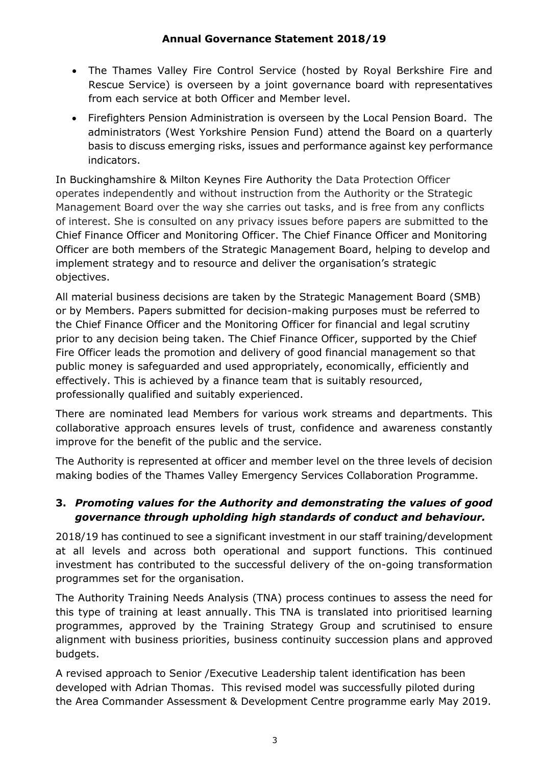- The Thames Valley Fire Control Service (hosted by Royal Berkshire Fire and Rescue Service) is overseen by a joint governance board with representatives from each service at both Officer and Member level.
- Firefighters Pension Administration is overseen by the Local Pension Board. The administrators (West Yorkshire Pension Fund) attend the Board on a quarterly basis to discuss emerging risks, issues and performance against key performance indicators.

In Buckinghamshire & Milton Keynes Fire Authority the Data Protection Officer operates independently and without instruction from the Authority or the Strategic Management Board over the way she carries out tasks, and is free from any conflicts of interest. She is consulted on any privacy issues before papers are submitted to the Chief Finance Officer and Monitoring Officer. The Chief Finance Officer and Monitoring Officer are both members of the Strategic Management Board, helping to develop and implement strategy and to resource and deliver the organisation's strategic objectives.

All material business decisions are taken by the Strategic Management Board (SMB) or by Members. Papers submitted for decision-making purposes must be referred to the Chief Finance Officer and the Monitoring Officer for financial and legal scrutiny prior to any decision being taken. The Chief Finance Officer, supported by the Chief Fire Officer leads the promotion and delivery of good financial management so that public money is safeguarded and used appropriately, economically, efficiently and effectively. This is achieved by a finance team that is suitably resourced, professionally qualified and suitably experienced.

There are nominated lead Members for various work streams and departments. This collaborative approach ensures levels of trust, confidence and awareness constantly improve for the benefit of the public and the service.

The Authority is represented at officer and member level on the three levels of decision making bodies of the Thames Valley Emergency Services Collaboration Programme.

# **3.** *Promoting values for the Authority and demonstrating the values of good governance through upholding high standards of conduct and behaviour.*

2018/19 has continued to see a significant investment in our staff training/development at all levels and across both operational and support functions. This continued investment has contributed to the successful delivery of the on-going transformation programmes set for the organisation.

The Authority Training Needs Analysis (TNA) process continues to assess the need for this type of training at least annually. This TNA is translated into prioritised learning programmes, approved by the Training Strategy Group and scrutinised to ensure alignment with business priorities, business continuity succession plans and approved budgets.

A revised approach to Senior /Executive Leadership talent identification has been developed with Adrian Thomas. This revised model was successfully piloted during the Area Commander Assessment & Development Centre programme early May 2019.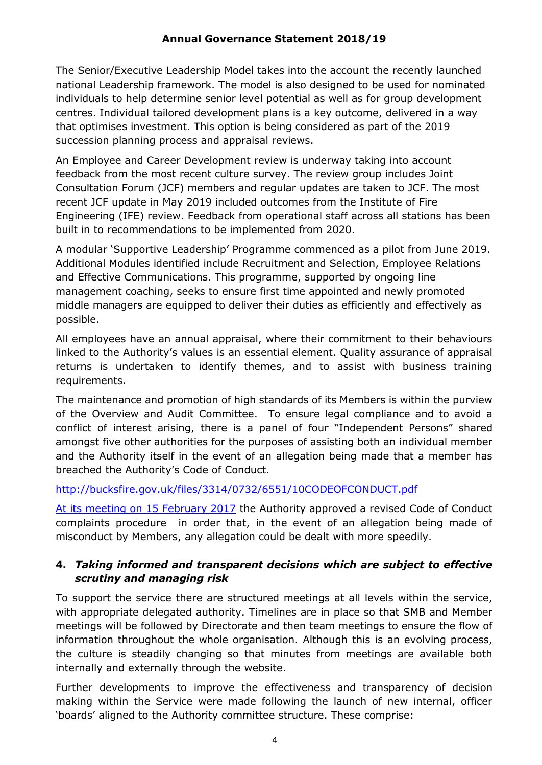The Senior/Executive Leadership Model takes into the account the recently launched national Leadership framework. The model is also designed to be used for nominated individuals to help determine senior level potential as well as for group development centres. Individual tailored development plans is a key outcome, delivered in a way that optimises investment. This option is being considered as part of the 2019 succession planning process and appraisal reviews.

An Employee and Career Development review is underway taking into account feedback from the most recent culture survey. The review group includes Joint Consultation Forum (JCF) members and regular updates are taken to JCF. The most recent JCF update in May 2019 included outcomes from the Institute of Fire Engineering (IFE) review. Feedback from operational staff across all stations has been built in to recommendations to be implemented from 2020.

A modular 'Supportive Leadership' Programme commenced as a pilot from June 2019. Additional Modules identified include Recruitment and Selection, Employee Relations and Effective Communications. This programme, supported by ongoing line management coaching, seeks to ensure first time appointed and newly promoted middle managers are equipped to deliver their duties as efficiently and effectively as possible.

All employees have an annual appraisal, where their commitment to their behaviours linked to the Authority's values is an essential element. Quality assurance of appraisal returns is undertaken to identify themes, and to assist with business training requirements.

The maintenance and promotion of high standards of its Members is within the purview of the Overview and Audit Committee. To ensure legal compliance and to avoid a conflict of interest arising, there is a panel of four "Independent Persons" shared amongst five other authorities for the purposes of assisting both an individual member and the Authority itself in the event of an allegation being made that a member has breached the Authority's Code of Conduct.

#### <http://bucksfire.gov.uk/files/3314/0732/6551/10CODEOFCONDUCT.pdf>

[At its meeting on 15 February 2017](http://bucksfire.gov.uk/files/8314/8639/2800/ITEM_7a_Size_of_the_Authority_and_its_code_of_conduct_complaints_procedureAppendices.compressed.pdf) the Authority approved a [revised Code of Conduct](http://bucksfire.gov.uk/fire-authority/governance/local-code-conduct-complaints-process/)  [complaints procedure](http://bucksfire.gov.uk/fire-authority/governance/local-code-conduct-complaints-process/) in order that, in the event of an allegation being made of misconduct by Members, any allegation could be dealt with more speedily.

# **4.** *Taking informed and transparent decisions which are subject to effective scrutiny and managing risk*

To support the service there are structured meetings at all levels within the service, with appropriate delegated authority. Timelines are in place so that SMB and Member meetings will be followed by Directorate and then team meetings to ensure the flow of information throughout the whole organisation. Although this is an evolving process, the culture is steadily changing so that minutes from meetings are available both internally and externally through the website.

Further developments to improve the effectiveness and transparency of decision making within the Service were made following the launch of new internal, officer 'boards' aligned to the Authority committee structure. These comprise: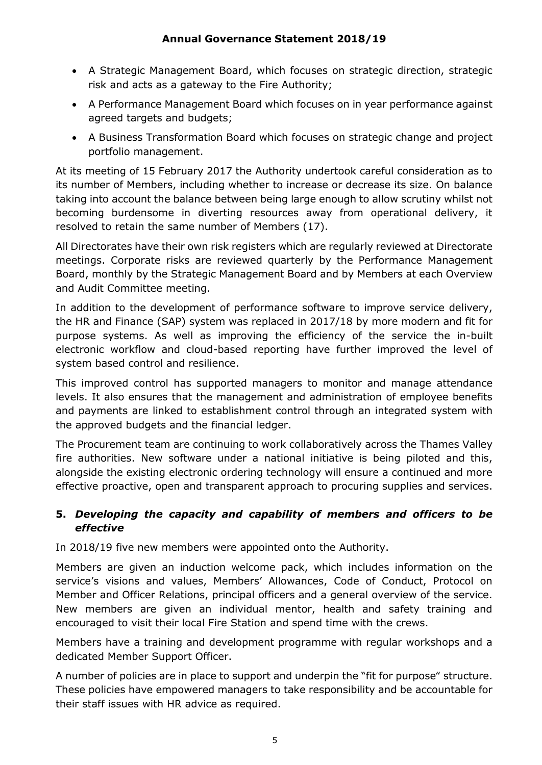- A Strategic Management Board, which focuses on strategic direction, strategic risk and acts as a gateway to the Fire Authority;
- A Performance Management Board which focuses on in year performance against agreed targets and budgets;
- A Business Transformation Board which focuses on strategic change and project portfolio management.

At its meeting of 15 February 2017 the Authority undertook careful consideration as to its number of Members, including whether to increase or decrease its size. On balance taking into account the balance between being large enough to allow scrutiny whilst not becoming burdensome in diverting resources away from operational delivery, it resolved to retain the same number of Members (17).

All Directorates have their own risk registers which are regularly reviewed at Directorate meetings. Corporate risks are reviewed quarterly by the Performance Management Board, monthly by the Strategic Management Board and by Members at each Overview and Audit Committee meeting.

In addition to the development of performance software to improve service delivery, the HR and Finance (SAP) system was replaced in 2017/18 by more modern and fit for purpose systems. As well as improving the efficiency of the service the in-built electronic workflow and cloud-based reporting have further improved the level of system based control and resilience.

This improved control has supported managers to monitor and manage attendance levels. It also ensures that the management and administration of employee benefits and payments are linked to establishment control through an integrated system with the approved budgets and the financial ledger.

The Procurement team are continuing to work collaboratively across the Thames Valley fire authorities. New software under a national initiative is being piloted and this, alongside the existing electronic ordering technology will ensure a continued and more effective proactive, open and transparent approach to procuring supplies and services.

# **5.** *Developing the capacity and capability of members and officers to be effective*

In 2018/19 five new members were appointed onto the Authority.

Members are given an induction welcome pack, which includes information on the service's visions and values, Members' Allowances, Code of Conduct, Protocol on Member and Officer Relations, principal officers and a general overview of the service. New members are given an individual mentor, health and safety training and encouraged to visit their local Fire Station and spend time with the crews.

Members have a training and development programme with regular workshops and a dedicated Member Support Officer.

A number of policies are in place to support and underpin the "fit for purpose" structure. These policies have empowered managers to take responsibility and be accountable for their staff issues with HR advice as required.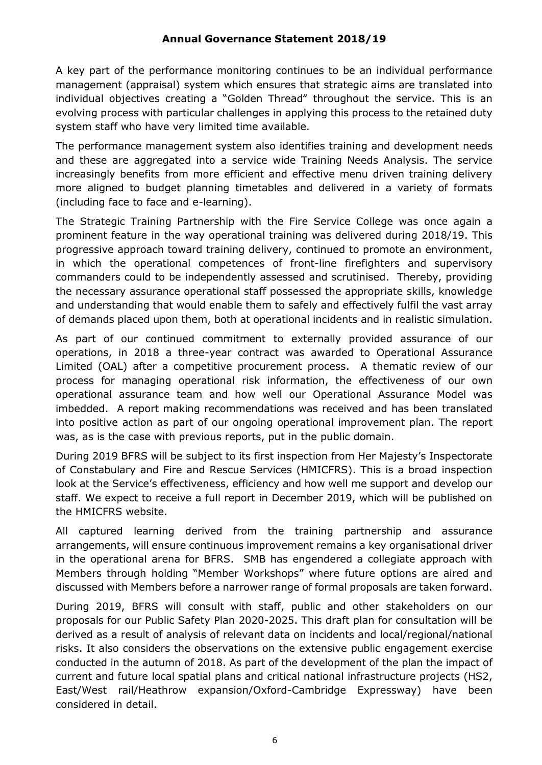A key part of the performance monitoring continues to be an individual performance management (appraisal) system which ensures that strategic aims are translated into individual objectives creating a "Golden Thread" throughout the service. This is an evolving process with particular challenges in applying this process to the retained duty system staff who have very limited time available.

The performance management system also identifies training and development needs and these are aggregated into a service wide Training Needs Analysis. The service increasingly benefits from more efficient and effective menu driven training delivery more aligned to budget planning timetables and delivered in a variety of formats (including face to face and e-learning).

The Strategic Training Partnership with the Fire Service College was once again a prominent feature in the way operational training was delivered during 2018/19. This progressive approach toward training delivery, continued to promote an environment, in which the operational competences of front-line firefighters and supervisory commanders could to be independently assessed and scrutinised. Thereby, providing the necessary assurance operational staff possessed the appropriate skills, knowledge and understanding that would enable them to safely and effectively fulfil the vast array of demands placed upon them, both at operational incidents and in realistic simulation.

As part of our continued commitment to externally provided assurance of our operations, in 2018 a three-year contract was awarded to Operational Assurance Limited (OAL) after a competitive procurement process. A thematic review of our process for managing operational risk information, the effectiveness of our own operational assurance team and how well our Operational Assurance Model was imbedded. A report making recommendations was received and has been translated into positive action as part of our ongoing operational improvement plan. The report was, as is the case with previous reports, put in the public domain.

During 2019 BFRS will be subject to its first inspection from Her Majesty's Inspectorate of Constabulary and Fire and Rescue Services (HMICFRS). This is a broad inspection look at the Service's effectiveness, efficiency and how well me support and develop our staff. We expect to receive a full report in December 2019, which will be published on the HMICFRS website.

All captured learning derived from the training partnership and assurance arrangements, will ensure continuous improvement remains a key organisational driver in the operational arena for BFRS. SMB has engendered a collegiate approach with Members through holding "Member Workshops" where future options are aired and discussed with Members before a narrower range of formal proposals are taken forward.

During 2019, BFRS will consult with staff, public and other stakeholders on our proposals for our Public Safety Plan 2020-2025. This draft plan for consultation will be derived as a result of analysis of relevant data on incidents and local/regional/national risks. It also considers the observations on the extensive public engagement exercise conducted in the autumn of 2018. As part of the development of the plan the impact of current and future local spatial plans and critical national infrastructure projects (HS2, East/West rail/Heathrow expansion/Oxford-Cambridge Expressway) have been considered in detail.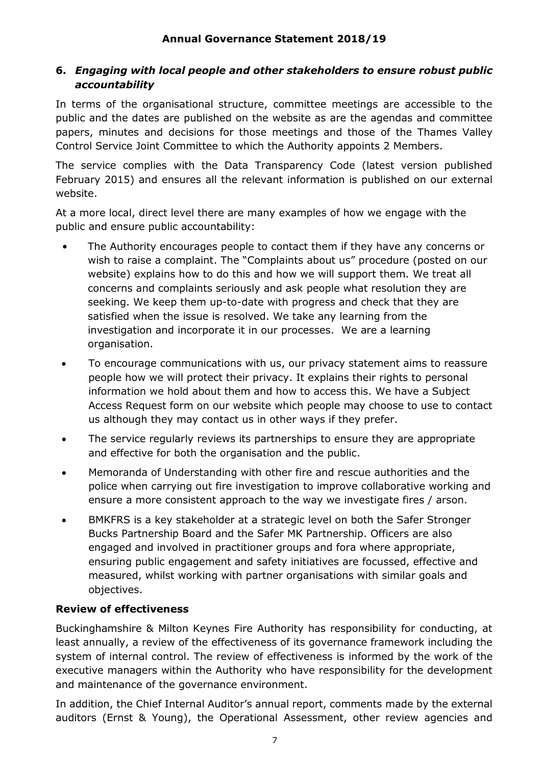# **6.** *Engaging with local people and other stakeholders to ensure robust public accountability*

In terms of the organisational structure, committee meetings are accessible to the public and the dates are published on the website as are the agendas and committee papers, minutes and decisions for those meetings and those of the Thames Valley Control Service Joint Committee to which the Authority appoints 2 Members.

The service complies with the Data Transparency Code (latest version published February 2015) and ensures all the relevant information is published on our external website.

At a more local, direct level there are many examples of how we engage with the public and ensure public accountability:

- The Authority encourages people to contact them if they have any concerns or wish to raise a complaint. The "Complaints about us" procedure (posted on our website) explains how to do this and how we will support them. We treat all concerns and complaints seriously and ask people what resolution they are seeking. We keep them up-to-date with progress and check that they are satisfied when the issue is resolved. We take any learning from the investigation and incorporate it in our processes. We are a learning organisation.
- To encourage communications with us, our privacy statement aims to reassure people how we will protect their privacy. It explains their rights to personal information we hold about them and how to access this. We have a Subject Access Request form on our website which people may choose to use to contact us although they may contact us in other ways if they prefer.
- The service regularly reviews its partnerships to ensure they are appropriate and effective for both the organisation and the public.
- Memoranda of Understanding with other fire and rescue authorities and the police when carrying out fire investigation to improve collaborative working and ensure a more consistent approach to the way we investigate fires / arson.
- BMKFRS is a key stakeholder at a strategic level on both the Safer Stronger Bucks Partnership Board and the Safer MK Partnership. Officers are also engaged and involved in practitioner groups and fora where appropriate, ensuring public engagement and safety initiatives are focussed, effective and measured, whilst working with partner organisations with similar goals and objectives.

# **Review of effectiveness**

Buckinghamshire & Milton Keynes Fire Authority has responsibility for conducting, at least annually, a review of the effectiveness of its governance framework including the system of internal control. The review of effectiveness is informed by the work of the executive managers within the Authority who have responsibility for the development and maintenance of the governance environment.

In addition, the Chief Internal Auditor's annual report, comments made by the external auditors (Ernst & Young), the Operational Assessment, other review agencies and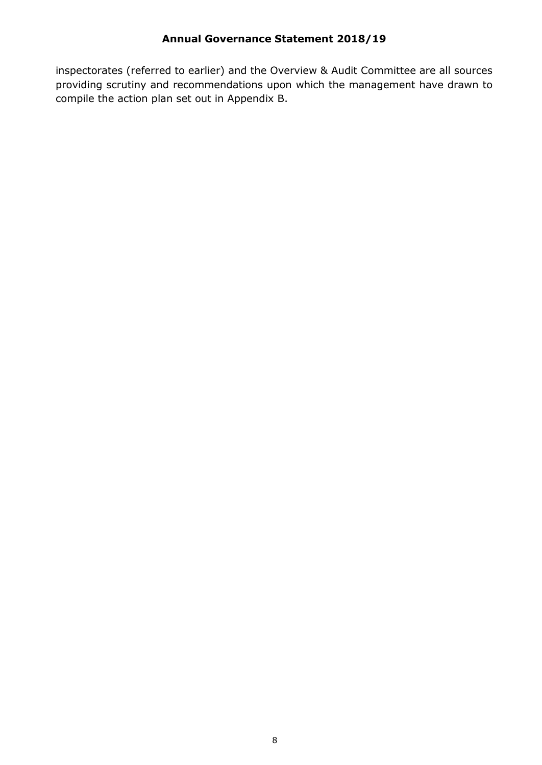inspectorates (referred to earlier) and the Overview & Audit Committee are all sources providing scrutiny and recommendations upon which the management have drawn to compile the action plan set out in Appendix B.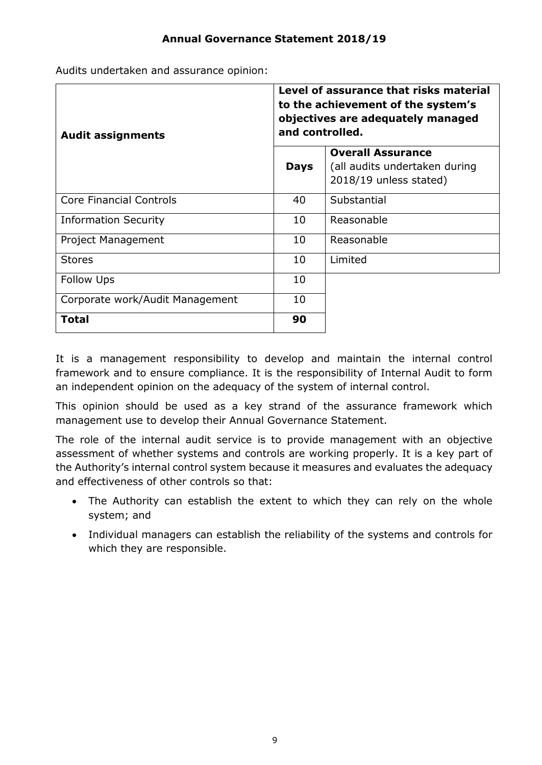Audits undertaken and assurance opinion:

| <b>Audit assignments</b>        | Level of assurance that risks material<br>to the achievement of the system's<br>objectives are adequately managed<br>and controlled. |                                                                                     |  |
|---------------------------------|--------------------------------------------------------------------------------------------------------------------------------------|-------------------------------------------------------------------------------------|--|
|                                 | <b>Days</b>                                                                                                                          | <b>Overall Assurance</b><br>(all audits undertaken during<br>2018/19 unless stated) |  |
| <b>Core Financial Controls</b>  | 40                                                                                                                                   | Substantial                                                                         |  |
| <b>Information Security</b>     | 10                                                                                                                                   | Reasonable                                                                          |  |
| Project Management              | 10                                                                                                                                   | Reasonable                                                                          |  |
| <b>Stores</b>                   | 10                                                                                                                                   | Limited                                                                             |  |
| <b>Follow Ups</b>               | 10                                                                                                                                   |                                                                                     |  |
| Corporate work/Audit Management | 10                                                                                                                                   |                                                                                     |  |
| <b>Total</b>                    | 90                                                                                                                                   |                                                                                     |  |

It is a management responsibility to develop and maintain the internal control framework and to ensure compliance. It is the responsibility of Internal Audit to form an independent opinion on the adequacy of the system of internal control.

This opinion should be used as a key strand of the assurance framework which management use to develop their Annual Governance Statement.

The role of the internal audit service is to provide management with an objective assessment of whether systems and controls are working properly. It is a key part of the Authority's internal control system because it measures and evaluates the adequacy and effectiveness of other controls so that:

- The Authority can establish the extent to which they can rely on the whole system; and
- Individual managers can establish the reliability of the systems and controls for which they are responsible.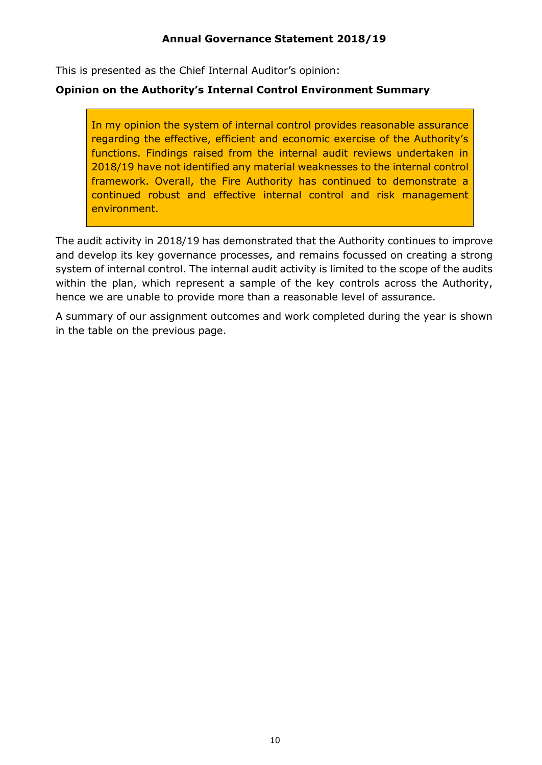This is presented as the Chief Internal Auditor's opinion:

#### **Opinion on the Authority's Internal Control Environment Summary**

In my opinion the system of internal control provides reasonable assurance regarding the effective, efficient and economic exercise of the Authority's functions. Findings raised from the internal audit reviews undertaken in 2018/19 have not identified any material weaknesses to the internal control framework. Overall, the Fire Authority has continued to demonstrate a continued robust and effective internal control and risk management environment.

The audit activity in 2018/19 has demonstrated that the Authority continues to improve and develop its key governance processes, and remains focussed on creating a strong system of internal control. The internal audit activity is limited to the scope of the audits within the plan, which represent a sample of the key controls across the Authority, hence we are unable to provide more than a reasonable level of assurance.

A summary of our assignment outcomes and work completed during the year is shown in the table on the previous page.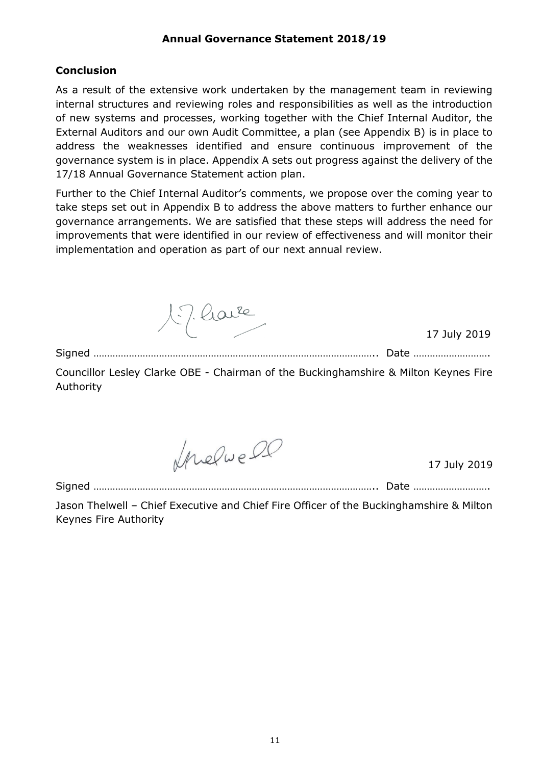#### **Conclusion**

As a result of the extensive work undertaken by the management team in reviewing internal structures and reviewing roles and responsibilities as well as the introduction of new systems and processes, working together with the Chief Internal Auditor, the External Auditors and our own Audit Committee, a plan (see Appendix B) is in place to address the weaknesses identified and ensure continuous improvement of the governance system is in place. Appendix A sets out progress against the delivery of the 17/18 Annual Governance Statement action plan.

Further to the Chief Internal Auditor's comments, we propose over the coming year to take steps set out in Appendix B to address the above matters to further enhance our governance arrangements. We are satisfied that these steps will address the need for improvements that were identified in our review of effectiveness and will monitor their implementation and operation as part of our next annual review.

17 have

17 July 2019

Signed ………………………………………………………………………………………….. Date ……………………….

Councillor Lesley Clarke OBE - Chairman of the Buckinghamshire & Milton Keynes Fire Authority

Invelve 00

17 July 2019

Signed ………………………………………………………………………………………….. Date ……………………….

Jason Thelwell – Chief Executive and Chief Fire Officer of the Buckinghamshire & Milton Keynes Fire Authority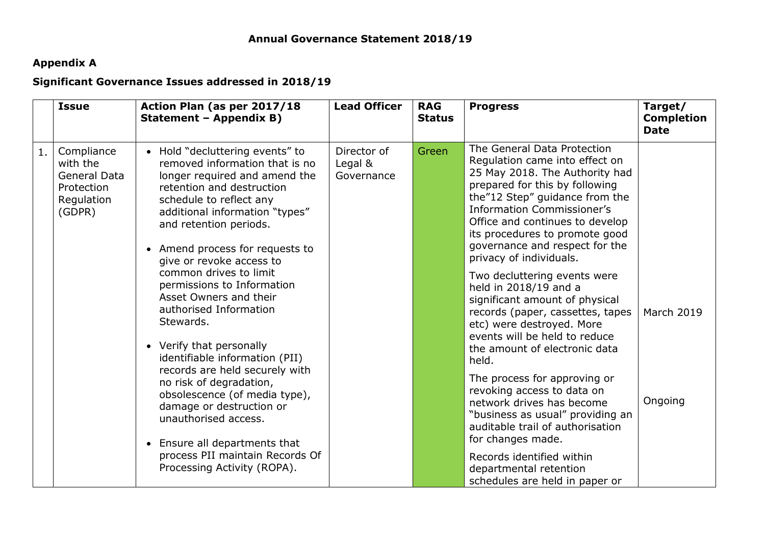# **Appendix A**

# **Significant Governance Issues addressed in 2018/19**

|    | <b>Issue</b>                                                                        | Action Plan (as per 2017/18<br>Statement - Appendix B)                                                                                                                                                                                                                                                                                                                                                                                                                                                                                                                                                                                                                                                                            | <b>Lead Officer</b>                  | <b>RAG</b><br><b>Status</b> | <b>Progress</b>                                                                                                                                                                                                                                                                                                                                                                                                                                                                                                                                                                                                                                                                                                                                                                                                                                                    | Target/<br><b>Completion</b><br><b>Date</b> |
|----|-------------------------------------------------------------------------------------|-----------------------------------------------------------------------------------------------------------------------------------------------------------------------------------------------------------------------------------------------------------------------------------------------------------------------------------------------------------------------------------------------------------------------------------------------------------------------------------------------------------------------------------------------------------------------------------------------------------------------------------------------------------------------------------------------------------------------------------|--------------------------------------|-----------------------------|--------------------------------------------------------------------------------------------------------------------------------------------------------------------------------------------------------------------------------------------------------------------------------------------------------------------------------------------------------------------------------------------------------------------------------------------------------------------------------------------------------------------------------------------------------------------------------------------------------------------------------------------------------------------------------------------------------------------------------------------------------------------------------------------------------------------------------------------------------------------|---------------------------------------------|
| 1. | Compliance<br>with the<br><b>General Data</b><br>Protection<br>Regulation<br>(GDPR) | • Hold "decluttering events" to<br>removed information that is no<br>longer required and amend the<br>retention and destruction<br>schedule to reflect any<br>additional information "types"<br>and retention periods.<br>• Amend process for requests to<br>give or revoke access to<br>common drives to limit<br>permissions to Information<br>Asset Owners and their<br>authorised Information<br>Stewards.<br>• Verify that personally<br>identifiable information (PII)<br>records are held securely with<br>no risk of degradation,<br>obsolescence (of media type),<br>damage or destruction or<br>unauthorised access.<br>• Ensure all departments that<br>process PII maintain Records Of<br>Processing Activity (ROPA). | Director of<br>Legal &<br>Governance | Green                       | The General Data Protection<br>Regulation came into effect on<br>25 May 2018. The Authority had<br>prepared for this by following<br>the"12 Step" guidance from the<br><b>Information Commissioner's</b><br>Office and continues to develop<br>its procedures to promote good<br>governance and respect for the<br>privacy of individuals.<br>Two decluttering events were<br>held in 2018/19 and a<br>significant amount of physical<br>records (paper, cassettes, tapes<br>etc) were destroyed. More<br>events will be held to reduce<br>the amount of electronic data<br>held.<br>The process for approving or<br>revoking access to data on<br>network drives has become<br>"business as usual" providing an<br>auditable trail of authorisation<br>for changes made.<br>Records identified within<br>departmental retention<br>schedules are held in paper or | March 2019<br>Ongoing                       |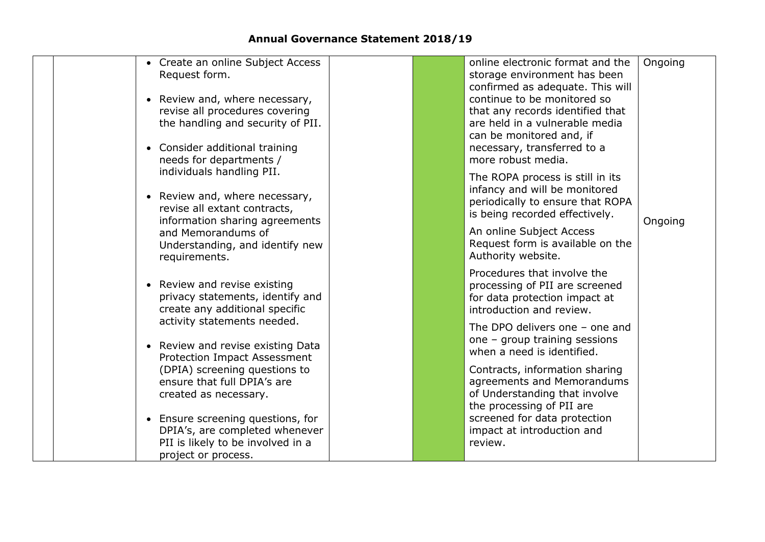| • Create an online Subject Access<br>Request form.<br>• Review and, where necessary,<br>revise all procedures covering<br>the handling and security of PII.<br>• Consider additional training<br>needs for departments / | online electronic format and the<br>storage environment has been<br>confirmed as adequate. This will<br>continue to be monitored so<br>that any records identified that<br>are held in a vulnerable media<br>can be monitored and, if<br>necessary, transferred to a<br>more robust media. | Ongoing |
|--------------------------------------------------------------------------------------------------------------------------------------------------------------------------------------------------------------------------|--------------------------------------------------------------------------------------------------------------------------------------------------------------------------------------------------------------------------------------------------------------------------------------------|---------|
| individuals handling PII.<br>• Review and, where necessary,<br>revise all extant contracts,<br>information sharing agreements                                                                                            | The ROPA process is still in its<br>infancy and will be monitored<br>periodically to ensure that ROPA<br>is being recorded effectively.                                                                                                                                                    | Ongoing |
| and Memorandums of<br>Understanding, and identify new<br>requirements.                                                                                                                                                   | An online Subject Access<br>Request form is available on the<br>Authority website.                                                                                                                                                                                                         |         |
| • Review and revise existing<br>privacy statements, identify and<br>create any additional specific                                                                                                                       | Procedures that involve the<br>processing of PII are screened<br>for data protection impact at<br>introduction and review.                                                                                                                                                                 |         |
| activity statements needed.<br>Review and revise existing Data<br><b>Protection Impact Assessment</b>                                                                                                                    | The DPO delivers one $-$ one and<br>one - group training sessions<br>when a need is identified.                                                                                                                                                                                            |         |
| (DPIA) screening questions to<br>ensure that full DPIA's are<br>created as necessary.                                                                                                                                    | Contracts, information sharing<br>agreements and Memorandums<br>of Understanding that involve<br>the processing of PII are                                                                                                                                                                 |         |
| • Ensure screening questions, for<br>DPIA's, are completed whenever<br>PII is likely to be involved in a<br>project or process.                                                                                          | screened for data protection<br>impact at introduction and<br>review.                                                                                                                                                                                                                      |         |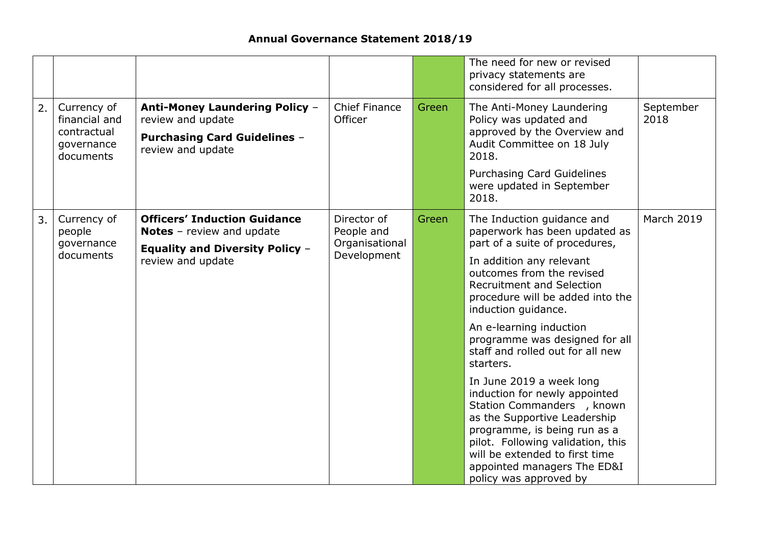|    |                                                                        |                                                                                                                                        |                                                            |       | The need for new or revised<br>privacy statements are<br>considered for all processes.                                                                                                                                                                                                                                                                                                                                                                                                                                                                                                                                                                         |                   |
|----|------------------------------------------------------------------------|----------------------------------------------------------------------------------------------------------------------------------------|------------------------------------------------------------|-------|----------------------------------------------------------------------------------------------------------------------------------------------------------------------------------------------------------------------------------------------------------------------------------------------------------------------------------------------------------------------------------------------------------------------------------------------------------------------------------------------------------------------------------------------------------------------------------------------------------------------------------------------------------------|-------------------|
| 2. | Currency of<br>financial and<br>contractual<br>governance<br>documents | <b>Anti-Money Laundering Policy -</b><br>review and update<br><b>Purchasing Card Guidelines -</b><br>review and update                 | <b>Chief Finance</b><br>Officer                            | Green | The Anti-Money Laundering<br>Policy was updated and<br>approved by the Overview and<br>Audit Committee on 18 July<br>2018.<br>Purchasing Card Guidelines<br>were updated in September<br>2018.                                                                                                                                                                                                                                                                                                                                                                                                                                                                 | September<br>2018 |
| 3. | Currency of<br>people<br>governance<br>documents                       | <b>Officers' Induction Guidance</b><br><b>Notes</b> - review and update<br><b>Equality and Diversity Policy -</b><br>review and update | Director of<br>People and<br>Organisational<br>Development | Green | The Induction guidance and<br>paperwork has been updated as<br>part of a suite of procedures,<br>In addition any relevant<br>outcomes from the revised<br><b>Recruitment and Selection</b><br>procedure will be added into the<br>induction guidance.<br>An e-learning induction<br>programme was designed for all<br>staff and rolled out for all new<br>starters.<br>In June 2019 a week long<br>induction for newly appointed<br>Station Commanders , known<br>as the Supportive Leadership<br>programme, is being run as a<br>pilot. Following validation, this<br>will be extended to first time<br>appointed managers The ED&I<br>policy was approved by | <b>March 2019</b> |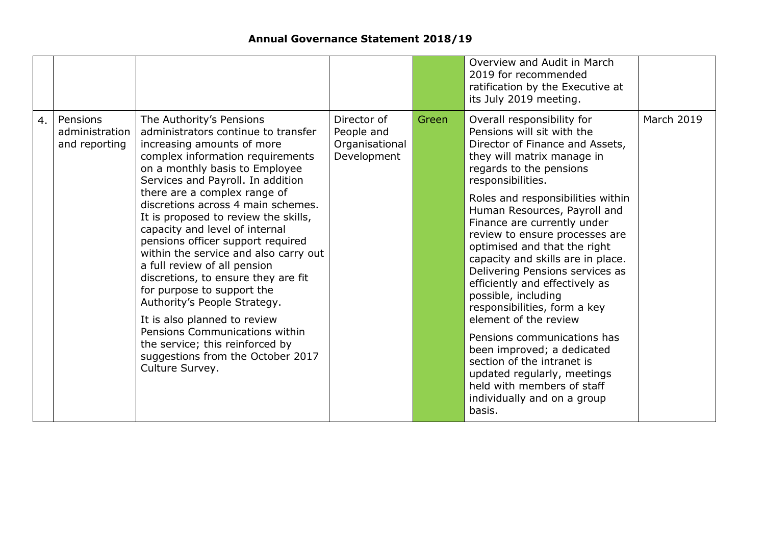|    |                                             |                                                                                                                                                                                                                                                                                                                                                                                                                                                                                                                                                                                                                                                                                                                                          |                                                            |       | Overview and Audit in March<br>2019 for recommended<br>ratification by the Executive at<br>its July 2019 meeting.                                                                                                                                                                                                                                                                                                                                                                                                                                                                                                                                                                                                                          |                   |
|----|---------------------------------------------|------------------------------------------------------------------------------------------------------------------------------------------------------------------------------------------------------------------------------------------------------------------------------------------------------------------------------------------------------------------------------------------------------------------------------------------------------------------------------------------------------------------------------------------------------------------------------------------------------------------------------------------------------------------------------------------------------------------------------------------|------------------------------------------------------------|-------|--------------------------------------------------------------------------------------------------------------------------------------------------------------------------------------------------------------------------------------------------------------------------------------------------------------------------------------------------------------------------------------------------------------------------------------------------------------------------------------------------------------------------------------------------------------------------------------------------------------------------------------------------------------------------------------------------------------------------------------------|-------------------|
| 4. | Pensions<br>administration<br>and reporting | The Authority's Pensions<br>administrators continue to transfer<br>increasing amounts of more<br>complex information requirements<br>on a monthly basis to Employee<br>Services and Payroll. In addition<br>there are a complex range of<br>discretions across 4 main schemes.<br>It is proposed to review the skills,<br>capacity and level of internal<br>pensions officer support required<br>within the service and also carry out<br>a full review of all pension<br>discretions, to ensure they are fit<br>for purpose to support the<br>Authority's People Strategy.<br>It is also planned to review<br>Pensions Communications within<br>the service; this reinforced by<br>suggestions from the October 2017<br>Culture Survey. | Director of<br>People and<br>Organisational<br>Development | Green | Overall responsibility for<br>Pensions will sit with the<br>Director of Finance and Assets,<br>they will matrix manage in<br>regards to the pensions<br>responsibilities.<br>Roles and responsibilities within<br>Human Resources, Payroll and<br>Finance are currently under<br>review to ensure processes are<br>optimised and that the right<br>capacity and skills are in place.<br>Delivering Pensions services as<br>efficiently and effectively as<br>possible, including<br>responsibilities, form a key<br>element of the review<br>Pensions communications has<br>been improved; a dedicated<br>section of the intranet is<br>updated regularly, meetings<br>held with members of staff<br>individually and on a group<br>basis. | <b>March 2019</b> |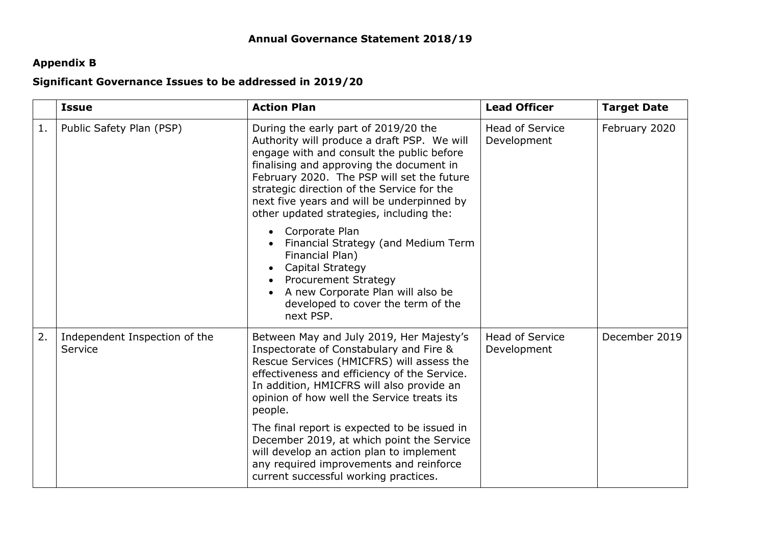# **Appendix B**

### **Significant Governance Issues to be addressed in 2019/20**

|    | <b>Issue</b>                             | <b>Action Plan</b>                                                                                                                                                                                                                                                                                                                                                 | <b>Lead Officer</b>                   | <b>Target Date</b> |
|----|------------------------------------------|--------------------------------------------------------------------------------------------------------------------------------------------------------------------------------------------------------------------------------------------------------------------------------------------------------------------------------------------------------------------|---------------------------------------|--------------------|
| 1. | Public Safety Plan (PSP)                 | During the early part of 2019/20 the<br>Authority will produce a draft PSP. We will<br>engage with and consult the public before<br>finalising and approving the document in<br>February 2020. The PSP will set the future<br>strategic direction of the Service for the<br>next five years and will be underpinned by<br>other updated strategies, including the: | <b>Head of Service</b><br>Development | February 2020      |
|    |                                          | Corporate Plan<br>Financial Strategy (and Medium Term<br>Financial Plan)<br><b>Capital Strategy</b><br><b>Procurement Strategy</b><br>A new Corporate Plan will also be<br>developed to cover the term of the<br>next PSP.                                                                                                                                         |                                       |                    |
| 2. | Independent Inspection of the<br>Service | Between May and July 2019, Her Majesty's<br>Inspectorate of Constabulary and Fire &<br>Rescue Services (HMICFRS) will assess the<br>effectiveness and efficiency of the Service.<br>In addition, HMICFRS will also provide an<br>opinion of how well the Service treats its<br>people.                                                                             | <b>Head of Service</b><br>Development | December 2019      |
|    |                                          | The final report is expected to be issued in<br>December 2019, at which point the Service<br>will develop an action plan to implement<br>any required improvements and reinforce<br>current successful working practices.                                                                                                                                          |                                       |                    |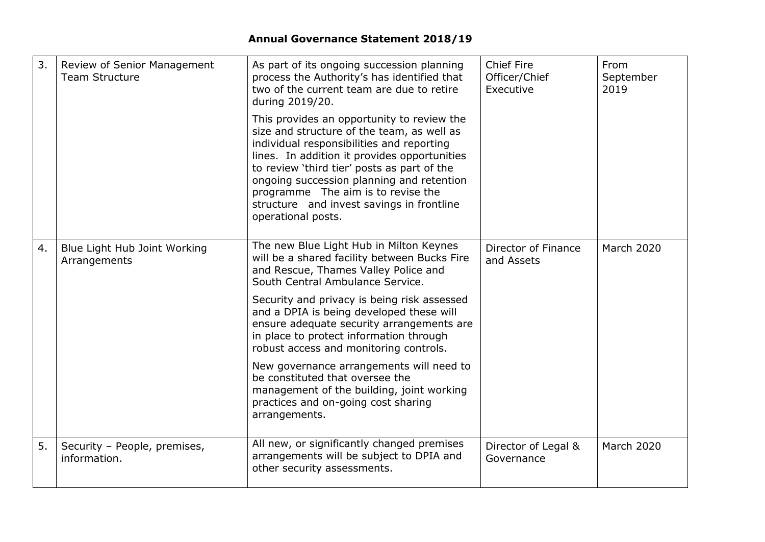| 3. | Review of Senior Management<br><b>Team Structure</b> | As part of its ongoing succession planning<br>process the Authority's has identified that<br>two of the current team are due to retire<br>during 2019/20.                                                                                                                                                                                                                                  | <b>Chief Fire</b><br>Officer/Chief<br>Executive | From<br>September<br>2019 |
|----|------------------------------------------------------|--------------------------------------------------------------------------------------------------------------------------------------------------------------------------------------------------------------------------------------------------------------------------------------------------------------------------------------------------------------------------------------------|-------------------------------------------------|---------------------------|
|    |                                                      | This provides an opportunity to review the<br>size and structure of the team, as well as<br>individual responsibilities and reporting<br>lines. In addition it provides opportunities<br>to review 'third tier' posts as part of the<br>ongoing succession planning and retention<br>programme The aim is to revise the<br>structure and invest savings in frontline<br>operational posts. |                                                 |                           |
| 4. | Blue Light Hub Joint Working<br>Arrangements         | The new Blue Light Hub in Milton Keynes<br>will be a shared facility between Bucks Fire<br>and Rescue, Thames Valley Police and<br>South Central Ambulance Service.                                                                                                                                                                                                                        | Director of Finance<br>and Assets               | <b>March 2020</b>         |
|    |                                                      | Security and privacy is being risk assessed<br>and a DPIA is being developed these will<br>ensure adequate security arrangements are<br>in place to protect information through<br>robust access and monitoring controls.                                                                                                                                                                  |                                                 |                           |
|    |                                                      | New governance arrangements will need to<br>be constituted that oversee the<br>management of the building, joint working<br>practices and on-going cost sharing<br>arrangements.                                                                                                                                                                                                           |                                                 |                           |
| 5. | Security - People, premises,<br>information.         | All new, or significantly changed premises<br>arrangements will be subject to DPIA and<br>other security assessments.                                                                                                                                                                                                                                                                      | Director of Legal &<br>Governance               | <b>March 2020</b>         |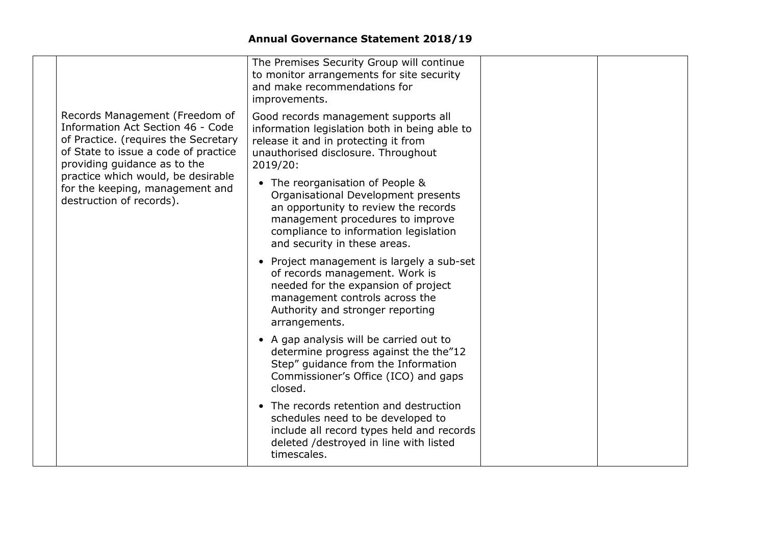|  |                                                                                                                                                                                                                                                                                          | The Premises Security Group will continue<br>to monitor arrangements for site security<br>and make recommendations for<br>improvements.                                                                                      |  |
|--|------------------------------------------------------------------------------------------------------------------------------------------------------------------------------------------------------------------------------------------------------------------------------------------|------------------------------------------------------------------------------------------------------------------------------------------------------------------------------------------------------------------------------|--|
|  | Records Management (Freedom of<br>Information Act Section 46 - Code<br>of Practice. (requires the Secretary<br>of State to issue a code of practice<br>providing guidance as to the<br>practice which would, be desirable<br>for the keeping, management and<br>destruction of records). | Good records management supports all<br>information legislation both in being able to<br>release it and in protecting it from<br>unauthorised disclosure. Throughout<br>2019/20:                                             |  |
|  |                                                                                                                                                                                                                                                                                          | • The reorganisation of People &<br>Organisational Development presents<br>an opportunity to review the records<br>management procedures to improve<br>compliance to information legislation<br>and security in these areas. |  |
|  |                                                                                                                                                                                                                                                                                          | Project management is largely a sub-set<br>$\bullet$<br>of records management. Work is<br>needed for the expansion of project<br>management controls across the<br>Authority and stronger reporting<br>arrangements.         |  |
|  |                                                                                                                                                                                                                                                                                          | • A gap analysis will be carried out to<br>determine progress against the the"12<br>Step" guidance from the Information<br>Commissioner's Office (ICO) and gaps<br>closed.                                                   |  |
|  |                                                                                                                                                                                                                                                                                          | • The records retention and destruction<br>schedules need to be developed to<br>include all record types held and records<br>deleted /destroyed in line with listed<br>timescales.                                           |  |